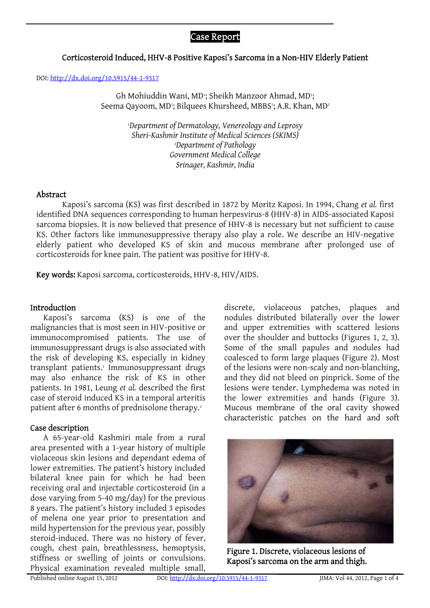# Case Report

## Corticosteroid Induced, HHV-8 Positive Kaposi's Sarcoma in a Non-HIV Elderly Patient

DOI: <http://dx.doi.org/10.5915/44-1-9317>

Gh Mohiuddin Wani, MD<sup>1</sup>; Sheikh Manzoor Ahmad, MD<sup>1</sup>; Seema Qayoom, MD<sup>1</sup>; Bilquees Khursheed, MBBS1; A.R. Khan, MD<del>'</del>

> 1 *Department of Dermatology, Venereology and Leprosy Sheri-Kashmir Institute of Medical Sciences (SKIMS)* 2 *Department of Pathology Government Medical College Srinager, Kashmir, India*

#### Abstract

Kaposi's sarcoma (KS) was first described in 1872 by Moritz Kaposi. In 1994, Chang *et al.* first identified DNA sequences corresponding to human herpesvirus-8 (HHV-8) in AIDS-associated Kaposi sarcoma biopsies. It is now believed that presence of HHV-8 is necessary but not sufficient to cause KS. Other factors like immunosuppressive therapy also play a role. We describe an HIV-negative elderly patient who developed KS of skin and mucous membrane after prolonged use of corticosteroids for knee pain. The patient was positive for HHV-8.

Key words: Kaposi sarcoma, corticosteroids, HHV-8, HIV/AIDS.

#### Introduction

Kaposi's sarcoma (KS) is one of the malignancies that is most seen in HIV-positive or immunocompromised patients. The use of immunosuppressant drugs is also associated with the risk of developing KS, especially in kidney transplant patients.<sup>1</sup> Immunosuppressant drugs may also enhance the risk of KS in other patients. In 1981, Leung *et al.* described the first case of steroid induced KS in a temporal arteritis patient after 6 months of prednisolone therapy.<sup>2</sup>

#### Case description

A 65-year-old Kashmiri male from a rural area presented with a 1-year history of multiple violaceous skin lesions and dependant edema of lower extremities. The patient's history included bilateral knee pain for which he had been receiving oral and injectable corticosteroid (in a dose varying from 5-40 mg/day) for the previous 8 years. The patient's history included 3 episodes of melena one year prior to presentation and mild hypertension for the previous year, possibly steroid-induced. There was no history of fever, cough, chest pain, breathlessness, hemoptysis, stiffness or swelling of joints or convulsions. Physical examination revealed multiple small,

discrete, violaceous patches, plaques and nodules distributed bilaterally over the lower and upper extremities with scattered lesions over the shoulder and buttocks (Figures 1, 2, 3). Some of the small papules and nodules had coalesced to form large plaques (Figure 2). Most of the lesions were non-scaly and non-blanching, and they did not bleed on pinprick. Some of the lesions were tender. Lymphedema was noted in the lower extremities and hands (Figure 3). Mucous membrane of the oral cavity showed characteristic patches on the hard and soft



Figure 1. Discrete, violaceous lesions of Kaposi's sarcoma on the arm and thigh.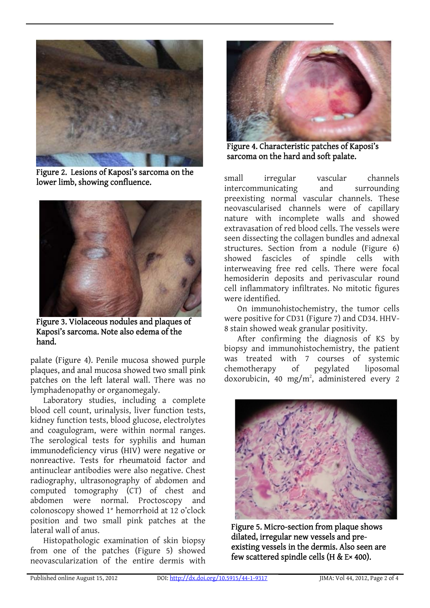

Figure 2. Lesions of Kaposi's sarcoma on the lower limb, showing confluence.



Figure 3. Violaceous nodules and plaques of Kaposi's sarcoma. Note also edema of the hand.

palate (Figure 4). Penile mucosa showed purple plaques, and anal mucosa showed two small pink patches on the left lateral wall. There was no lymphadenopathy or organomegaly.

Laboratory studies, including a complete blood cell count, urinalysis, liver function tests, kidney function tests, blood glucose, electrolytes and coagulogram, were within normal ranges. The serological tests for syphilis and human immunodeficiency virus (HIV) were negative or nonreactive. Tests for rheumatoid factor and antinuclear antibodies were also negative. Chest radiography, ultrasonography of abdomen and computed tomography (CT) of chest and abdomen were normal. Proctoscopy and colonoscopy showed 1° hemorrhoid at 12 o'clock position and two small pink patches at the lateral wall of anus.

Histopathologic examination of skin biopsy from one of the patches (Figure 5) showed neovascularization of the entire dermis with



Figure 4. Characteristic patches of Kaposi's sarcoma on the hard and soft palate.

small irregular vascular channels intercommunicating and surrounding preexisting normal vascular channels. These neovascularised channels were of capillary nature with incomplete walls and showed extravasation of red blood cells. The vessels were seen dissecting the collagen bundles and adnexal structures. Section from a nodule (Figure 6) showed fascicles of spindle cells with interweaving free red cells. There were focal hemosiderin deposits and perivascular round cell inflammatory infiltrates. No mitotic figures were identified.

On immunohistochemistry, the tumor cells were positive for CD31 (Figure 7) and CD34. HHV-8 stain showed weak granular positivity.

After confirming the diagnosis of KS by biopsy and immunohistochemistry, the patient was treated with 7 courses of systemic chemotherapy of pegylated liposomal doxorubicin, 40 mg/m<sup>2</sup>, administered every 2



Figure 5. Micro-section from plaque shows dilated, irregular new vessels and preexisting vessels in the dermis. Also seen are few scattered spindle cells (H & E× 400).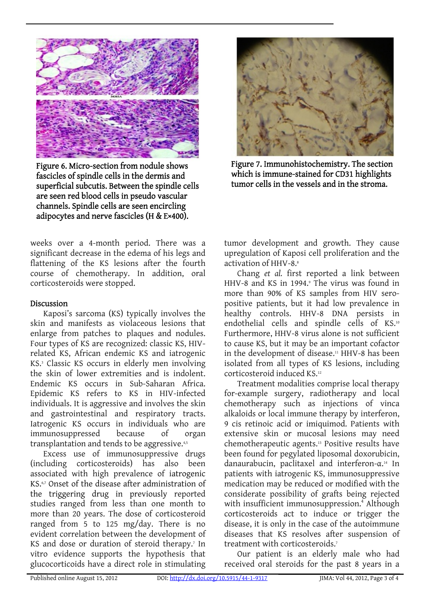

Figure 6. Micro-section from nodule shows fascicles of spindle cells in the dermis and superficial subcutis. Between the spindle cells are seen red blood cells in pseudo vascular channels. Spindle cells are seen encircling adipocytes and nerve fascicles (H & E×400).



#### Discussion

Kaposi's sarcoma (KS) typically involves the skin and manifests as violaceous lesions that enlarge from patches to plaques and nodules. Four types of KS are recognized: classic KS, HIVrelated KS, African endemic KS and iatrogenic KS.3 Classic KS occurs in elderly men involving the skin of lower extremities and is indolent. Endemic KS occurs in Sub-Saharan Africa. Epidemic KS refers to KS in HIV-infected individuals. It is aggressive and involves the skin and gastrointestinal and respiratory tracts. Iatrogenic KS occurs in individuals who are immunosuppressed because of organ transplantation and tends to be aggressive.<sup>4,5</sup>

Excess use of immunosuppressive drugs (including corticosteroids) has also been associated with high prevalence of iatrogenic KS.6,7 Onset of the disease after administration of the triggering drug in previously reported studies ranged from less than one month to more than 20 years. The dose of corticosteroid ranged from 5 to 125 mg/day. There is no evident correlation between the development of KS and dose or duration of steroid therapy.<sup>7</sup> In vitro evidence supports the hypothesis that glucocorticoids have a direct role in stimulating



Figure 7. Immunohistochemistry. The section which is immune-stained for CD31 highlights tumor cells in the vessels and in the stroma.

tumor development and growth. They cause upregulation of Kaposi cell proliferation and the activation of HHV-8.<sup>8</sup>

Chang *et al.* first reported a link between HHV-8 and KS in 1994.<sup>9</sup> The virus was found in more than 90% of KS samples from HIV seropositive patients, but it had low prevalence in healthy controls. HHV-8 DNA persists in endothelial cells and spindle cells of KS.<sup>10</sup> Furthermore, HHV-8 virus alone is not sufficient to cause KS, but it may be an important cofactor in the development of disease.<sup>11</sup> HHV-8 has been isolated from all types of KS lesions, including corticosteroid induced KS.12

Treatment modalities comprise local therapy for-example surgery, radiotherapy and local chemotherapy such as injections of vinca alkaloids or local immune therapy by interferon, 9 cis retinoic acid or imiquimod. Patients with extensive skin or mucosal lesions may need chemotherapeutic agents.13 Positive results have been found for pegylated liposomal doxorubicin, danaurabucin, paclitaxel and interferon-α. 14 In patients with iatrogenic KS, immunosuppressive medication may be reduced or modified with the considerate possibility of grafts being rejected with insufficient immunosuppression.<sup>4</sup> Although corticosteroids act to induce or trigger the disease, it is only in the case of the autoimmune diseases that KS resolves after suspension of treatment with corticosteroids.<sup>7</sup>

Our patient is an elderly male who had received oral steroids for the past 8 years in a